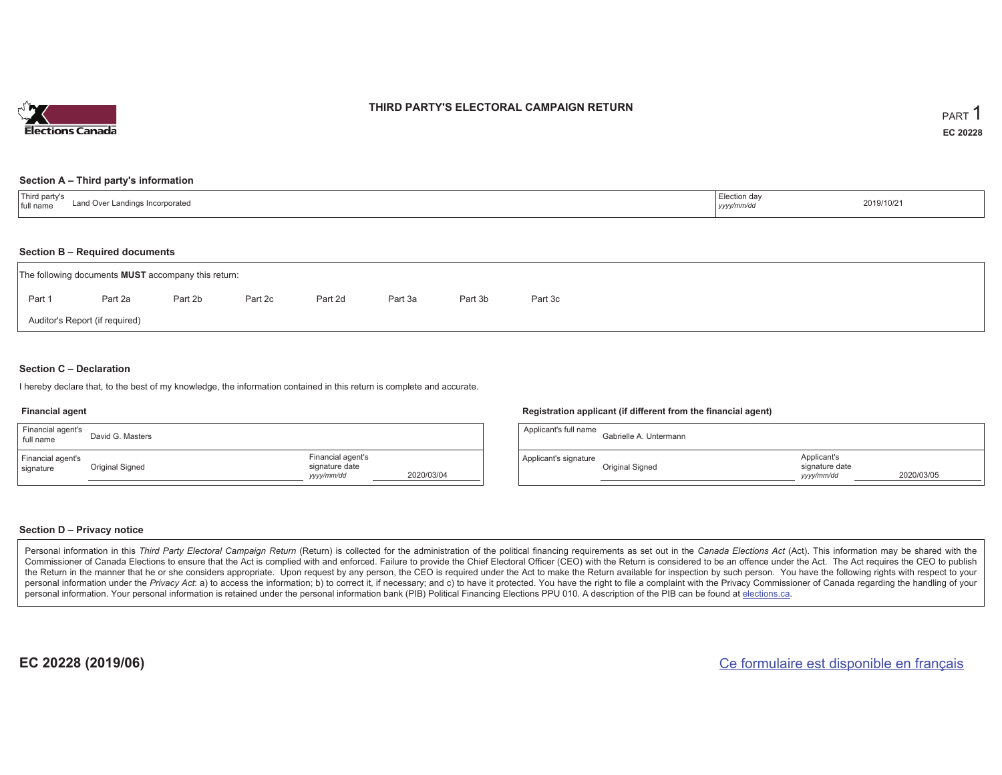

## **THIRD PARTY'S ELECTORAL CAMPAIGN RETURN**

#### **Section A – Third party's information**

| Third party's<br>Land Over Landings Incorporated<br>full name | Election day<br>yyyy/mm/dd | 2019/10/21 |
|---------------------------------------------------------------|----------------------------|------------|
|---------------------------------------------------------------|----------------------------|------------|

#### **Section B – Required documents**

|        | The following documents <b>MUST</b> accompany this return: |         |         |         |         |         |         |  |
|--------|------------------------------------------------------------|---------|---------|---------|---------|---------|---------|--|
| Part 1 | Part 2a                                                    | Part 2b | Part 2c | Part 2d | Part 3a | Part 3b | Part 3c |  |
|        | Auditor's Report (if required)                             |         |         |         |         |         |         |  |

### **Section C – Declaration**

I hereby declare that, to the best of my knowledge, the information contained in this return is complete and accurate.

#### **Financial agent**

| Financial agent's<br>full name | David G. Masters |                                                   |            |
|--------------------------------|------------------|---------------------------------------------------|------------|
| Financial agent's<br>signature | Original Signed  | Financial agent's<br>signature date<br>yyyy/mm/dd | 2020/03/04 |

### **Registration applicant (if different from the financial agent)**

| Applicant's full name | Gabrielle A. Untermann |                                             |            |
|-----------------------|------------------------|---------------------------------------------|------------|
| Applicant's signature | Original Signed        | Applicant's<br>signature date<br>yyyy/mm/dd | 2020/03/05 |

### **Section D – Privacy notice**

Personal information in this Third Party Electoral Campaign Return (Return) is collected for the administration of the political financing requirements as set out in the Canada Elections Act (Act). This information may be Commissioner of Canada Elections to ensure that the Act is complied with and enforced. Failure to provide the Chief Electoral Officer (CEO) with the Return is considered to be an offence under the Act. The Act requires the the Return in the manner that he or she considers appropriate. Upon request by any person, the CEO is required under the Act to make the Return available for inspection by such person. You have the following rights with re personal information under the Privacy Act: a) to access the information; b) to correct it, if necessary; and c) to have it protected. You have the right to file a complaint with the Privacy Commissioner of Canada regardin personal information. Your personal information is retained under the personal information bank (PIB) Political Financing Elections PPU 010. A description of the PIB can be found at elections.ca.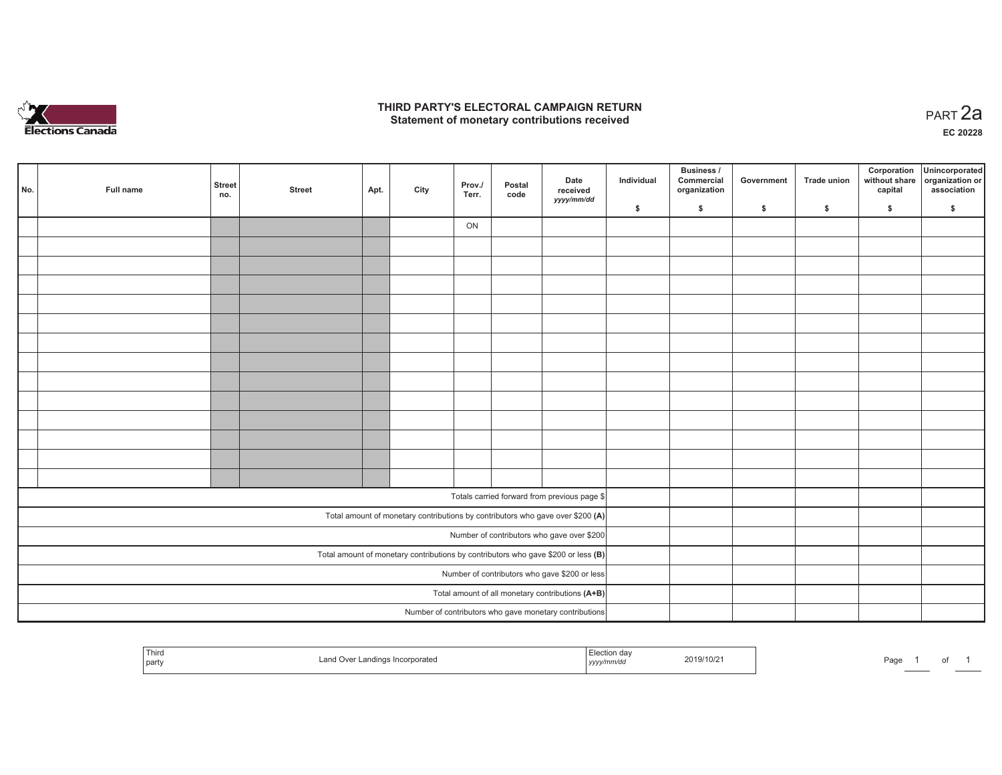

## **THIRD PARTY'S ELECTORAL CAMPAIGN RETURN HIRD PARTY'S ELECTORAL CAMPAIGN RETURN<br>Statement of monetary contributions received PART 2a**

**EC 20228**

| No. | Full name                                     | <b>Street</b><br>no. | <b>Street</b> | Apt. | City | Prov./<br>Terr. | Postal<br>code | Date<br>received<br>yyyy/mm/dd                                                      | Individual | <b>Business /</b><br>Commercial<br>organization | Government | Trade union  | Corporation<br>capital | Unincorporated<br>without share organization or<br>association |
|-----|-----------------------------------------------|----------------------|---------------|------|------|-----------------|----------------|-------------------------------------------------------------------------------------|------------|-------------------------------------------------|------------|--------------|------------------------|----------------------------------------------------------------|
|     |                                               |                      |               |      |      |                 |                |                                                                                     | \$         | \$                                              | \$         | $\mathbf{s}$ | \$                     | \$                                                             |
|     |                                               |                      |               |      |      | ON              |                |                                                                                     |            |                                                 |            |              |                        |                                                                |
|     |                                               |                      |               |      |      |                 |                |                                                                                     |            |                                                 |            |              |                        |                                                                |
|     |                                               |                      |               |      |      |                 |                |                                                                                     |            |                                                 |            |              |                        |                                                                |
|     |                                               |                      |               |      |      |                 |                |                                                                                     |            |                                                 |            |              |                        |                                                                |
|     |                                               |                      |               |      |      |                 |                |                                                                                     |            |                                                 |            |              |                        |                                                                |
|     |                                               |                      |               |      |      |                 |                |                                                                                     |            |                                                 |            |              |                        |                                                                |
|     |                                               |                      |               |      |      |                 |                |                                                                                     |            |                                                 |            |              |                        |                                                                |
|     |                                               |                      |               |      |      |                 |                |                                                                                     |            |                                                 |            |              |                        |                                                                |
|     |                                               |                      |               |      |      |                 |                |                                                                                     |            |                                                 |            |              |                        |                                                                |
|     |                                               |                      |               |      |      |                 |                |                                                                                     |            |                                                 |            |              |                        |                                                                |
|     |                                               |                      |               |      |      |                 |                |                                                                                     |            |                                                 |            |              |                        |                                                                |
|     |                                               |                      |               |      |      |                 |                |                                                                                     |            |                                                 |            |              |                        |                                                                |
|     |                                               |                      |               |      |      |                 |                |                                                                                     |            |                                                 |            |              |                        |                                                                |
|     |                                               |                      |               |      |      |                 |                |                                                                                     |            |                                                 |            |              |                        |                                                                |
|     |                                               |                      |               |      |      |                 |                | Totals carried forward from previous page \$                                        |            |                                                 |            |              |                        |                                                                |
|     |                                               |                      |               |      |      |                 |                | Total amount of monetary contributions by contributors who gave over \$200 (A)      |            |                                                 |            |              |                        |                                                                |
|     |                                               |                      |               |      |      |                 |                | Number of contributors who gave over \$200                                          |            |                                                 |            |              |                        |                                                                |
|     |                                               |                      |               |      |      |                 |                | Total amount of monetary contributions by contributors who gave \$200 or less $(B)$ |            |                                                 |            |              |                        |                                                                |
|     | Number of contributors who gave \$200 or less |                      |               |      |      |                 |                |                                                                                     |            |                                                 |            |              |                        |                                                                |
|     |                                               |                      |               |      |      |                 |                | Total amount of all monetary contributions (A+B)                                    |            |                                                 |            |              |                        |                                                                |
|     |                                               |                      |               |      |      |                 |                | Number of contributors who gave monetary contributions                              |            |                                                 |            |              |                        |                                                                |

| ' Thiro<br>  party | ∟and Over '<br>r Landings Incorporated | Flection day<br>.<br>yyyy/mm/dd | 2019/10/21 | Page |  |  |  |  |
|--------------------|----------------------------------------|---------------------------------|------------|------|--|--|--|--|
|--------------------|----------------------------------------|---------------------------------|------------|------|--|--|--|--|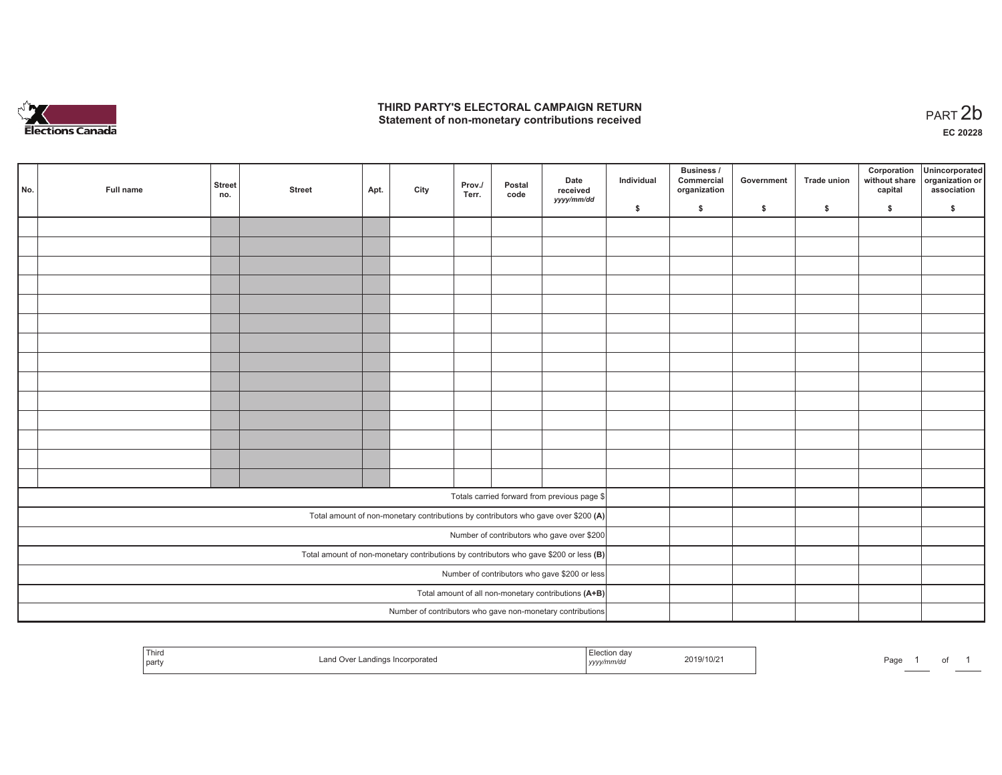

## **THIRD PARTY'S ELECTORAL CAMPAIGN RETURN**  THIRD PARTY'S ELECTORAL CAMPAIGN RETURN<br>Statement of non-monetary contributions received<br> **PART 2b**

| No. | Full name                                     | <b>Street</b><br>no. | <b>Street</b> | Apt. | City | Prov./<br>Terr. | Postal<br>code | Date<br>received<br>yyyy/mm/dd                                                          | Individual | <b>Business /</b><br>Commercial<br>organization | Government   | Trade union  | Corporation<br>capital | Unincorporated<br>without share organization or<br>association |
|-----|-----------------------------------------------|----------------------|---------------|------|------|-----------------|----------------|-----------------------------------------------------------------------------------------|------------|-------------------------------------------------|--------------|--------------|------------------------|----------------------------------------------------------------|
|     |                                               |                      |               |      |      |                 |                |                                                                                         | \$         | \$                                              | $\mathsf{s}$ | $\mathbf{s}$ | \$                     | \$                                                             |
|     |                                               |                      |               |      |      |                 |                |                                                                                         |            |                                                 |              |              |                        |                                                                |
|     |                                               |                      |               |      |      |                 |                |                                                                                         |            |                                                 |              |              |                        |                                                                |
|     |                                               |                      |               |      |      |                 |                |                                                                                         |            |                                                 |              |              |                        |                                                                |
|     |                                               |                      |               |      |      |                 |                |                                                                                         |            |                                                 |              |              |                        |                                                                |
|     |                                               |                      |               |      |      |                 |                |                                                                                         |            |                                                 |              |              |                        |                                                                |
|     |                                               |                      |               |      |      |                 |                |                                                                                         |            |                                                 |              |              |                        |                                                                |
|     |                                               |                      |               |      |      |                 |                |                                                                                         |            |                                                 |              |              |                        |                                                                |
|     |                                               |                      |               |      |      |                 |                |                                                                                         |            |                                                 |              |              |                        |                                                                |
|     |                                               |                      |               |      |      |                 |                |                                                                                         |            |                                                 |              |              |                        |                                                                |
|     |                                               |                      |               |      |      |                 |                |                                                                                         |            |                                                 |              |              |                        |                                                                |
|     |                                               |                      |               |      |      |                 |                |                                                                                         |            |                                                 |              |              |                        |                                                                |
|     |                                               |                      |               |      |      |                 |                |                                                                                         |            |                                                 |              |              |                        |                                                                |
|     |                                               |                      |               |      |      |                 |                |                                                                                         |            |                                                 |              |              |                        |                                                                |
|     |                                               |                      |               |      |      |                 |                |                                                                                         |            |                                                 |              |              |                        |                                                                |
|     |                                               |                      |               |      |      |                 |                |                                                                                         |            |                                                 |              |              |                        |                                                                |
|     |                                               |                      |               |      |      |                 |                | Totals carried forward from previous page \$                                            |            |                                                 |              |              |                        |                                                                |
|     |                                               |                      |               |      |      |                 |                | Total amount of non-monetary contributions by contributors who gave over \$200 (A)      |            |                                                 |              |              |                        |                                                                |
|     |                                               |                      |               |      |      |                 |                | Number of contributors who gave over \$200                                              |            |                                                 |              |              |                        |                                                                |
|     |                                               |                      |               |      |      |                 |                | Total amount of non-monetary contributions by contributors who gave \$200 or less $(B)$ |            |                                                 |              |              |                        |                                                                |
|     | Number of contributors who gave \$200 or less |                      |               |      |      |                 |                |                                                                                         |            |                                                 |              |              |                        |                                                                |
|     |                                               |                      |               |      |      |                 |                | Total amount of all non-monetary contributions (A+B)                                    |            |                                                 |              |              |                        |                                                                |
|     |                                               |                      |               |      |      |                 |                | Number of contributors who gave non-monetary contributions                              |            |                                                 |              |              |                        |                                                                |

| Third<br>≞lection dav<br>2019/10/21<br>Page<br>r Landings Incorporated<br>$\overline{\phantom{a}}$<br>l partv<br>yyyynmuur |  |  |  |  |
|----------------------------------------------------------------------------------------------------------------------------|--|--|--|--|
|----------------------------------------------------------------------------------------------------------------------------|--|--|--|--|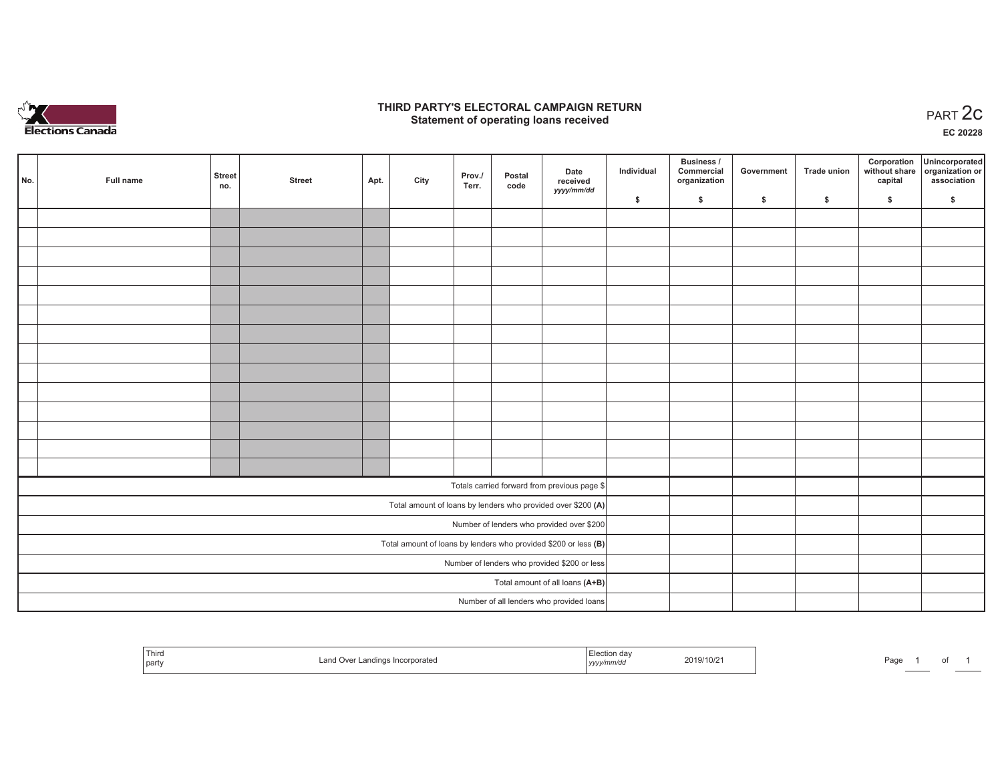

## **THIRD PARTY'S ELECTORAL CAMPAIGN RETURN STATE:** PARTY'S ELECTORAL CAMPAIGN RETURN<br>
Statement of operating loans received

**EC 20228**

| No. | Full name | <b>Street</b><br>no. | <b>Street</b> | Apt. | City | Prov./<br>Terr. | Postal<br>code | Date<br>received                                                  | Individual | Business /<br>Commercial<br>organization | Government | Trade union | Corporation<br>capital | Unincorporated<br>without share organization or<br>association |
|-----|-----------|----------------------|---------------|------|------|-----------------|----------------|-------------------------------------------------------------------|------------|------------------------------------------|------------|-------------|------------------------|----------------------------------------------------------------|
|     |           |                      |               |      |      |                 |                | yyyy/mm/dd                                                        | \$         | \$                                       | \$         | \$          | \$                     | \$                                                             |
|     |           |                      |               |      |      |                 |                |                                                                   |            |                                          |            |             |                        |                                                                |
|     |           |                      |               |      |      |                 |                |                                                                   |            |                                          |            |             |                        |                                                                |
|     |           |                      |               |      |      |                 |                |                                                                   |            |                                          |            |             |                        |                                                                |
|     |           |                      |               |      |      |                 |                |                                                                   |            |                                          |            |             |                        |                                                                |
|     |           |                      |               |      |      |                 |                |                                                                   |            |                                          |            |             |                        |                                                                |
|     |           |                      |               |      |      |                 |                |                                                                   |            |                                          |            |             |                        |                                                                |
|     |           |                      |               |      |      |                 |                |                                                                   |            |                                          |            |             |                        |                                                                |
|     |           |                      |               |      |      |                 |                |                                                                   |            |                                          |            |             |                        |                                                                |
|     |           |                      |               |      |      |                 |                |                                                                   |            |                                          |            |             |                        |                                                                |
|     |           |                      |               |      |      |                 |                |                                                                   |            |                                          |            |             |                        |                                                                |
|     |           |                      |               |      |      |                 |                |                                                                   |            |                                          |            |             |                        |                                                                |
|     |           |                      |               |      |      |                 |                |                                                                   |            |                                          |            |             |                        |                                                                |
|     |           |                      |               |      |      |                 |                |                                                                   |            |                                          |            |             |                        |                                                                |
|     |           |                      |               |      |      |                 |                |                                                                   |            |                                          |            |             |                        |                                                                |
|     |           |                      |               |      |      |                 |                | Totals carried forward from previous page \$                      |            |                                          |            |             |                        |                                                                |
|     |           |                      |               |      |      |                 |                | Total amount of loans by lenders who provided over \$200 (A)      |            |                                          |            |             |                        |                                                                |
|     |           |                      |               |      |      |                 |                | Number of lenders who provided over \$200                         |            |                                          |            |             |                        |                                                                |
|     |           |                      |               |      |      |                 |                | Total amount of loans by lenders who provided \$200 or less $(B)$ |            |                                          |            |             |                        |                                                                |
|     |           |                      |               |      |      |                 |                | Number of lenders who provided \$200 or less                      |            |                                          |            |             |                        |                                                                |
|     |           |                      |               |      |      |                 |                | Total amount of all loans (A+B)                                   |            |                                          |            |             |                        |                                                                |
|     |           |                      |               |      |      |                 |                | Number of all lenders who provided loans                          |            |                                          |            |             |                        |                                                                |

| <sup>I</sup> Third<br>part | Land<br>r Landings Incorporated<br>∣ ∪ ve | lection day.<br>/mm/da<br>  УУУУ | 2019/10/21 | Page |  |
|----------------------------|-------------------------------------------|----------------------------------|------------|------|--|
|----------------------------|-------------------------------------------|----------------------------------|------------|------|--|

of 1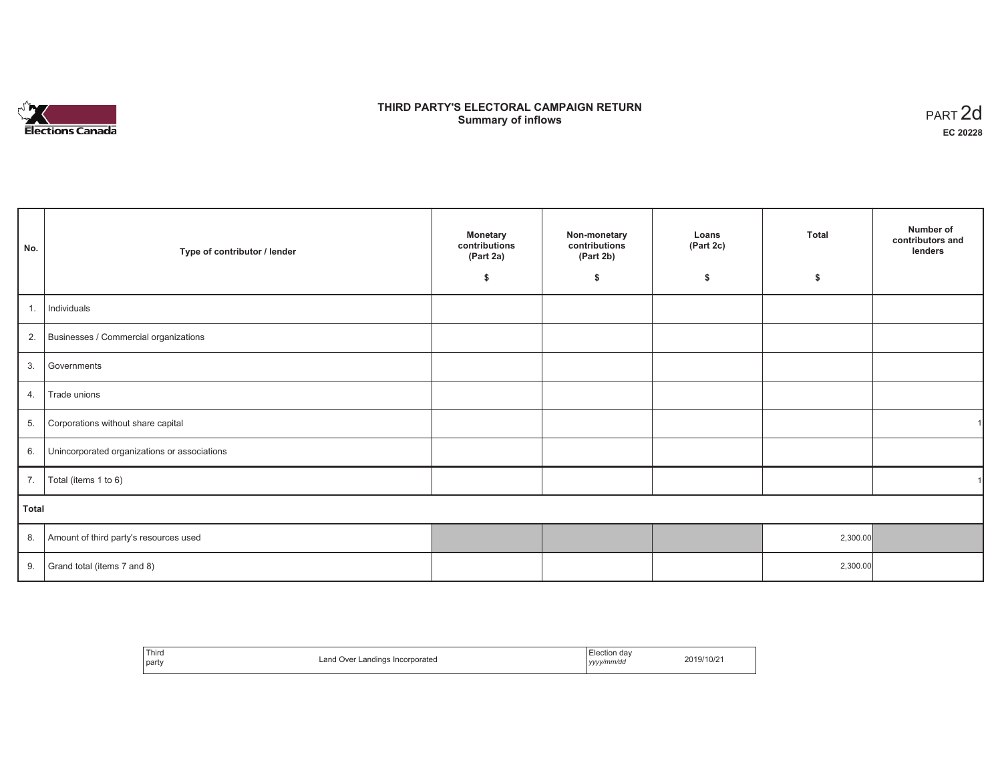

# **THIRD PARTY'S ELECTORAL CAMPAIGN RETURN S** ELECTORAL CAMPAIGN RETURN<br>Summary of inflows PART 2d

| No.   | Type of contributor / lender                    | <b>Monetary</b><br>contributions<br>(Part 2a)<br>\$ | Non-monetary<br>contributions<br>(Part 2b)<br>\$ | Loans<br>(Part 2c)<br>\$ | <b>Total</b><br>\$ | Number of<br>contributors and<br>lenders |
|-------|-------------------------------------------------|-----------------------------------------------------|--------------------------------------------------|--------------------------|--------------------|------------------------------------------|
|       |                                                 |                                                     |                                                  |                          |                    |                                          |
| 1.    | Individuals                                     |                                                     |                                                  |                          |                    |                                          |
|       | 2. Businesses / Commercial organizations        |                                                     |                                                  |                          |                    |                                          |
| 3.    | Governments                                     |                                                     |                                                  |                          |                    |                                          |
| 4.    | Trade unions                                    |                                                     |                                                  |                          |                    |                                          |
| 5.    | Corporations without share capital              |                                                     |                                                  |                          |                    |                                          |
|       | 6. Unincorporated organizations or associations |                                                     |                                                  |                          |                    |                                          |
|       | 7.   Total (items 1 to 6)                       |                                                     |                                                  |                          |                    |                                          |
| Total |                                                 |                                                     |                                                  |                          |                    |                                          |
|       | 8. Amount of third party's resources used       |                                                     |                                                  |                          | 2,300.00           |                                          |
|       | 9. Grand total (items $7$ and $8$ )             |                                                     |                                                  |                          | 2,300.00           |                                          |

| Third<br>party | Land Over Landings Incorporated<br>. | Election dav<br>yyyy/mm/dd | 2019/10/2 |
|----------------|--------------------------------------|----------------------------|-----------|
|----------------|--------------------------------------|----------------------------|-----------|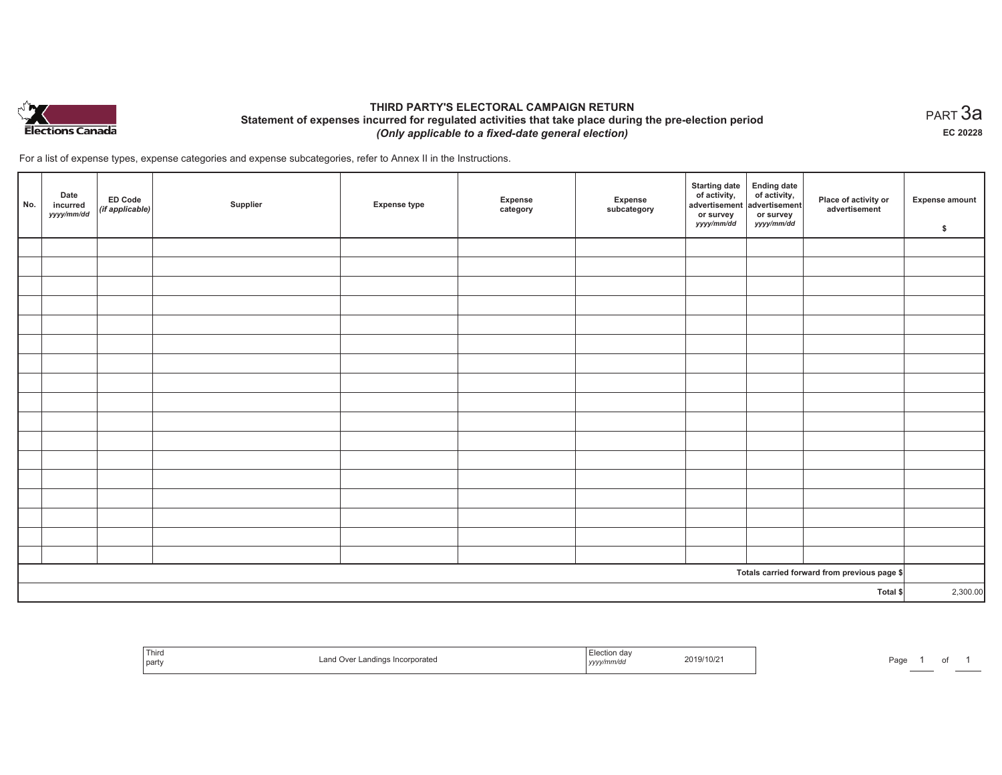

# **THIRD PARTY'S ELECTORAL CAMPAIGN RETURN Statement of expenses incurred for regulated activities that take place during the pre-election period**  *(Only applicable to a fixed-date general election)*

For a list of expense types, expense categories and expense subcategories, refer to Annex II in the Instructions.

| No. | Date<br>incurred<br>yyyy/mm/dd | ED Code<br>(if applicable) | Supplier | <b>Expense type</b> | Expense<br>category | Expense<br>subcategory | <b>Starting date</b><br>of activity,<br>advertisement<br>or survey<br>yyyy/mm/dd | Ending date<br>of activity,<br>advertisement<br>or survey<br>yyyy/mm/dd | Place of activity or<br>advertisement        | <b>Expense amount</b><br>\$ |
|-----|--------------------------------|----------------------------|----------|---------------------|---------------------|------------------------|----------------------------------------------------------------------------------|-------------------------------------------------------------------------|----------------------------------------------|-----------------------------|
|     |                                |                            |          |                     |                     |                        |                                                                                  |                                                                         |                                              |                             |
|     |                                |                            |          |                     |                     |                        |                                                                                  |                                                                         |                                              |                             |
|     |                                |                            |          |                     |                     |                        |                                                                                  |                                                                         |                                              |                             |
|     |                                |                            |          |                     |                     |                        |                                                                                  |                                                                         |                                              |                             |
|     |                                |                            |          |                     |                     |                        |                                                                                  |                                                                         |                                              |                             |
|     |                                |                            |          |                     |                     |                        |                                                                                  |                                                                         |                                              |                             |
|     |                                |                            |          |                     |                     |                        |                                                                                  |                                                                         |                                              |                             |
|     |                                |                            |          |                     |                     |                        |                                                                                  |                                                                         |                                              |                             |
|     |                                |                            |          |                     |                     |                        |                                                                                  |                                                                         |                                              |                             |
|     |                                |                            |          |                     |                     |                        |                                                                                  |                                                                         |                                              |                             |
|     |                                |                            |          |                     |                     |                        |                                                                                  |                                                                         |                                              |                             |
|     |                                |                            |          |                     |                     |                        |                                                                                  |                                                                         |                                              |                             |
|     |                                |                            |          |                     |                     |                        |                                                                                  |                                                                         |                                              |                             |
|     |                                |                            |          |                     |                     |                        |                                                                                  |                                                                         |                                              |                             |
|     |                                |                            |          |                     |                     |                        |                                                                                  |                                                                         |                                              |                             |
|     |                                |                            |          |                     |                     |                        |                                                                                  |                                                                         |                                              |                             |
|     |                                |                            |          |                     |                     |                        |                                                                                  |                                                                         |                                              |                             |
|     |                                |                            |          |                     |                     |                        |                                                                                  |                                                                         | Totals carried forward from previous page \$ |                             |
|     | Total \$                       |                            |          |                     |                     |                        | 2,300.00                                                                         |                                                                         |                                              |                             |

| ' Thirc<br>part | <sup>.</sup> Landınd<br>Incorporated<br>over<br>. <b>.</b><br>$\blacksquare$ | <b>Contract Contract Contract</b><br>, yyyymmvaa | 2019/10/21 | Page |  |  |  |
|-----------------|------------------------------------------------------------------------------|--------------------------------------------------|------------|------|--|--|--|
|-----------------|------------------------------------------------------------------------------|--------------------------------------------------|------------|------|--|--|--|

 $_{\sf PART}$ 3a **EC 20228**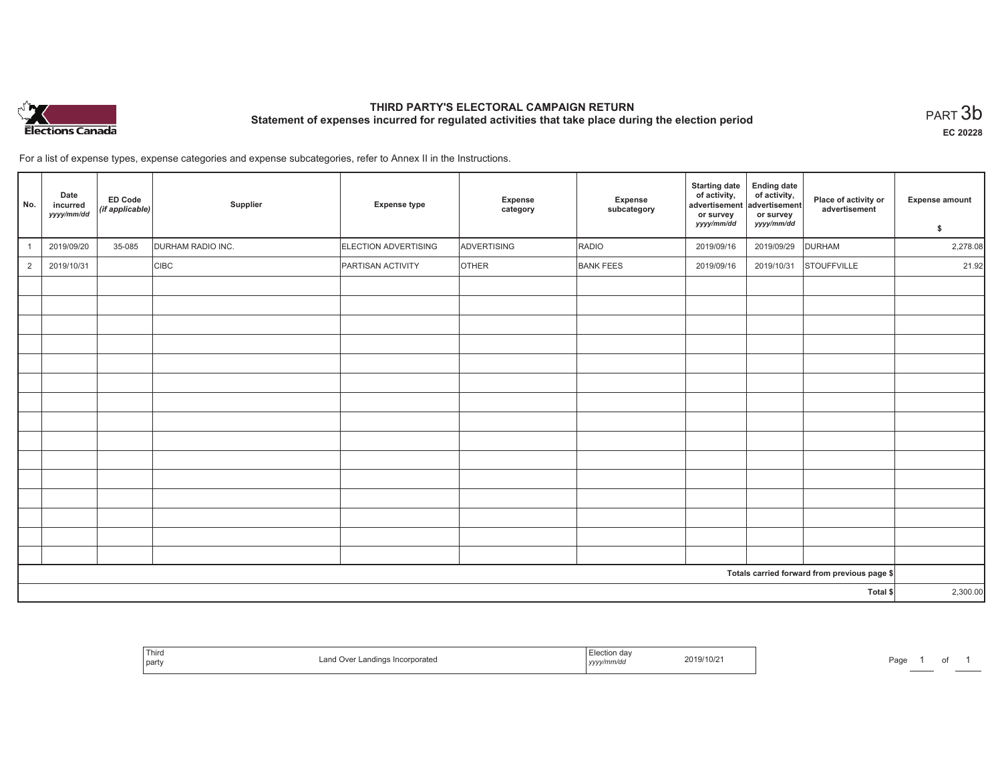

# **THIRD PARTY'S ELECTORAL CAMPAIGN RETURN Statement of expenses incurred for regulated activities that take place during the election period**<br>PART  $3\mathsf{b}$

**EC 20228**

1 of 1

For a list of expense types, expense categories and expense subcategories, refer to Annex II in the Instructions.

| No.            | Date<br>incurred<br>yyyy/mm/dd | ED Code<br>(if applicable) | Supplier          | <b>Expense type</b>  | <b>Expense</b><br>category | Expense<br>subcategory | <b>Starting date</b><br>of activity,<br>advertisement<br>or survey<br>yyyy/mm/dd | <b>Ending date</b><br>of activity,<br>advertisement<br>or survey<br>yyyy/mm/dd | Place of activity or<br>advertisement        | <b>Expense amount</b><br>\$ |
|----------------|--------------------------------|----------------------------|-------------------|----------------------|----------------------------|------------------------|----------------------------------------------------------------------------------|--------------------------------------------------------------------------------|----------------------------------------------|-----------------------------|
|                | 2019/09/20                     | 35-085                     | DURHAM RADIO INC. | ELECTION ADVERTISING | ADVERTISING                | RADIO                  | 2019/09/16                                                                       | 2019/09/29                                                                     | <b>DURHAM</b>                                | 2,278.08                    |
| $\overline{2}$ | 2019/10/31                     |                            | <b>CIBC</b>       | PARTISAN ACTIVITY    | <b>OTHER</b>               | <b>BANK FEES</b>       | 2019/09/16                                                                       | 2019/10/31                                                                     | <b>STOUFFVILLE</b>                           | 21.92                       |
|                |                                |                            |                   |                      |                            |                        |                                                                                  |                                                                                |                                              |                             |
|                |                                |                            |                   |                      |                            |                        |                                                                                  |                                                                                |                                              |                             |
|                |                                |                            |                   |                      |                            |                        |                                                                                  |                                                                                |                                              |                             |
|                |                                |                            |                   |                      |                            |                        |                                                                                  |                                                                                |                                              |                             |
|                |                                |                            |                   |                      |                            |                        |                                                                                  |                                                                                |                                              |                             |
|                |                                |                            |                   |                      |                            |                        |                                                                                  |                                                                                |                                              |                             |
|                |                                |                            |                   |                      |                            |                        |                                                                                  |                                                                                |                                              |                             |
|                |                                |                            |                   |                      |                            |                        |                                                                                  |                                                                                |                                              |                             |
|                |                                |                            |                   |                      |                            |                        |                                                                                  |                                                                                |                                              |                             |
|                |                                |                            |                   |                      |                            |                        |                                                                                  |                                                                                |                                              |                             |
|                |                                |                            |                   |                      |                            |                        |                                                                                  |                                                                                |                                              |                             |
|                |                                |                            |                   |                      |                            |                        |                                                                                  |                                                                                |                                              |                             |
|                |                                |                            |                   |                      |                            |                        |                                                                                  |                                                                                |                                              |                             |
|                |                                |                            |                   |                      |                            |                        |                                                                                  |                                                                                |                                              |                             |
|                |                                |                            |                   |                      |                            |                        |                                                                                  |                                                                                |                                              |                             |
|                |                                |                            |                   |                      |                            |                        |                                                                                  |                                                                                | Totals carried forward from previous page \$ |                             |
| Total \$       |                                |                            |                   |                      |                            |                        | 2,300.00                                                                         |                                                                                |                                              |                             |

| i nira<br>part | r Landings Incorporated<br>∟and<br>. Over ⊑ | Election dav<br>  yyyy/mm/aa<br>$\sim$ $\sim$ | 2019/10/2 | Page |
|----------------|---------------------------------------------|-----------------------------------------------|-----------|------|
|----------------|---------------------------------------------|-----------------------------------------------|-----------|------|